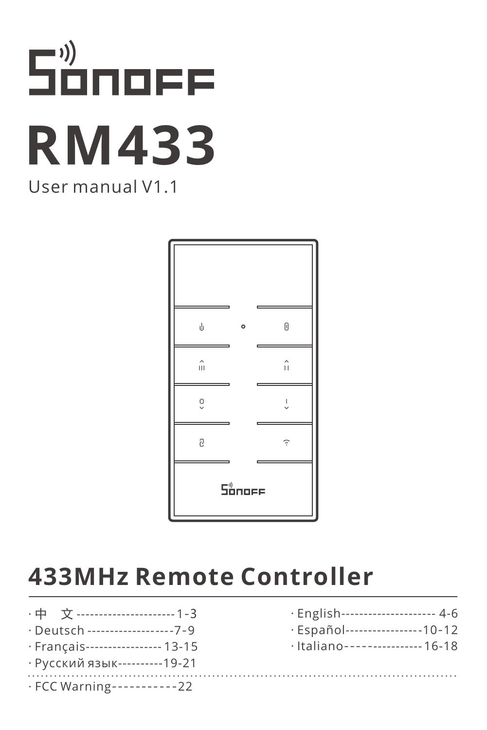# Sånoff **RM433** User manual V1.1



# **433MHz Remote Controller**

- · 中 文 [---------------------](#page-1-0) 1-3
- · Deutsch [----------------](#page-7-0)---7-9
- · Français[---------------](#page-13-0)-- 13-15
- · [Русский язык----------19-21](#page-19-0)
- [· English---------------------](#page-4-0) 4-6
- [· Español-----------------10](#page-10-0)-12
- [· Italiano](#page-16-0)---------------- 16-18
- · [FCC Warning](#page-22-0)-----------22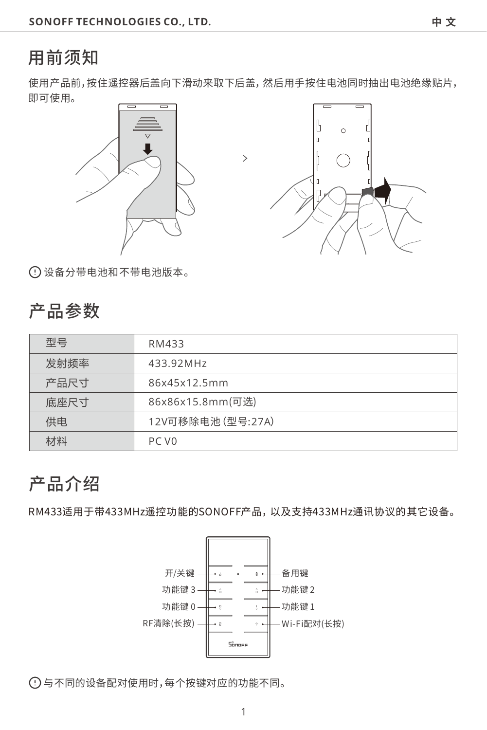### <span id="page-1-0"></span>用前须知

使用产品前,按住遥控器后盖向下滑动来取下后盖,然后用手按住电池同时抽出电池绝缘贴片, 即可使用。

 $\rightarrow$ 





设备分带电池和不带电池版本。

#### 产品参数

| 型号   | RM433             |
|------|-------------------|
| 发射频率 | 433.92MHz         |
| 产品尺寸 | 86x45x12.5mm      |
| 底座尺寸 | 86x86x15.8mm(可选)  |
| 供电   | 12V可移除电池 (型号:27A) |
| 计料   | PC <sub>V0</sub>  |

### 产品介绍

RM433适⽤于带433MHz遥控功能的SONOFF产品,以及⽀持433MHz通讯协议的其它设备。



与不同的设备配对使⽤时,每个按键对应的功能不同。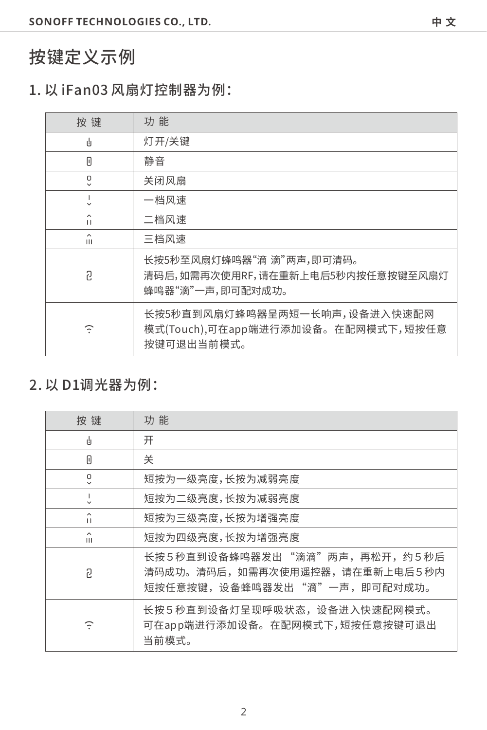### 按键定义示例

#### 1.以iFan03⻛扇灯控制器为例:

| 按键           | 功能                                                                               |
|--------------|----------------------------------------------------------------------------------|
| 山            | 灯开/关键                                                                            |
| П            | 静音                                                                               |
| ۰            | 关闭风扇                                                                             |
|              | 一档风速                                                                             |
| $\mathbf{H}$ | 二档风速                                                                             |
| ^<br>Ш       | 三档风速                                                                             |
| 2            | 长按5秒至风扇灯蜂鸣器"滴 滴"两声,即可清码。<br>清码后,如需再次使用RF,请在重新上电后5秒内按任意按键至风扇灯<br>蜂鸣器"滴"一声,即可配对成功。 |
| Φ            | 长按5秒直到风扇灯蜂鸣器呈两短一长响声,设备进入快速配网<br>模式(Touch),可在app端进行添加设备。在配网模式下,短按任意<br>按键可退出当前模式。 |

#### 2.以D1调光器为例:

| 按键             | 功能                                                                                           |
|----------------|----------------------------------------------------------------------------------------------|
| ú              | 开                                                                                            |
| Π              | 关                                                                                            |
| ã              | 短按为一级亮度,长按为减弱亮度                                                                              |
|                | 短按为二级亮度,长按为减弱亮度                                                                              |
| $\lambda$<br>п | 短按为三级亮度,长按为增强亮度                                                                              |
| ∼<br>Ш         | 短按为四级亮度,长按为增强亮度                                                                              |
| 2              | 长按5秒直到设备蜂鸣器发出"滴滴"两声,再松开,约5秒后<br>清码成功。清码后,如需再次使用遥控器,请在重新上电后5秒内<br>短按任意按键,设备蜂鸣器发出"滴"一声,即可配对成功。 |
| Φ              | 长按5秒直到设备灯呈现呼吸状态,设备进入快速配网模式。<br>可在app端进行添加设备。在配网模式下,短按任意按键可退出<br>当前模式。                        |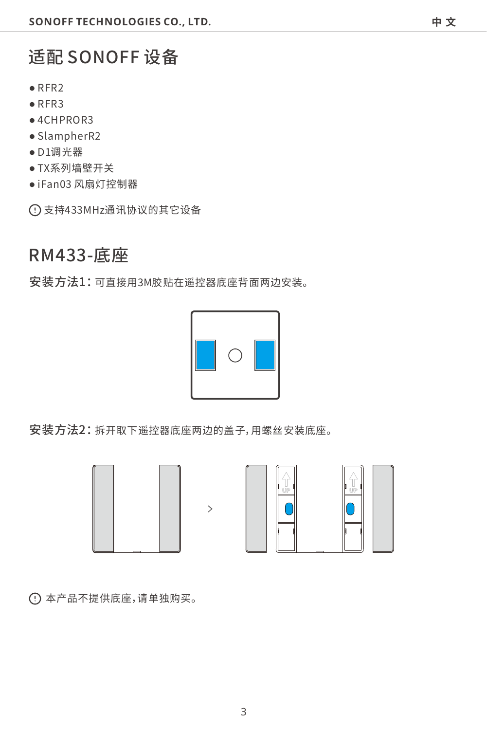# 适配SONOFF设备

- ●RFR2
- ●RFR3
- ●4CHPROR3
- ●SlampherR2
- ●D1调光器
- TX系列墙壁开关
- ●iFan03⻛扇灯控制器

⽀持433MHz通讯协议的其它设备

### RM433-

安装方法1:可直接用3M胶贴在遥控器底座背面两边安装。



安装方法2:拆开取下遥控器底座两边的盖子,用螺丝安装底座。

 $\overline{ }$ 





本产品不提供底座,请单独购买。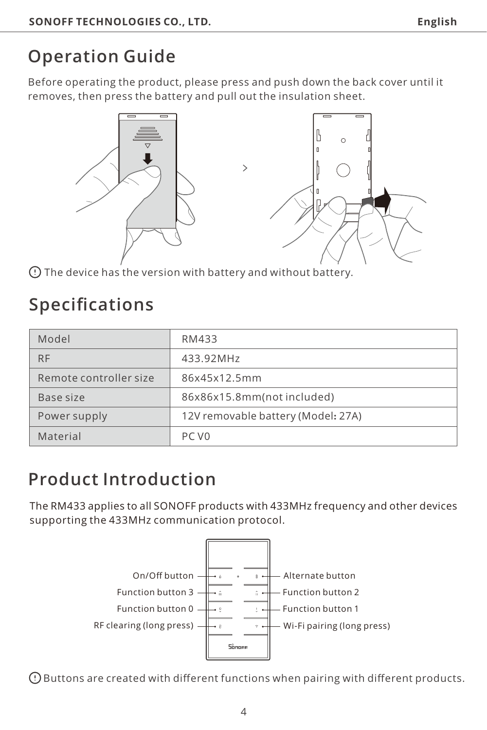# <span id="page-4-0"></span>**Operation Guide**

Before operating the product, please press and push down the back cover until it removes, then press the battery and pull out the insulation sheet.



The device has the version with battery and without battery.

# **Specifications**

| Model                  | RM433                              |
|------------------------|------------------------------------|
| <b>RF</b>              | 433.92MHz                          |
| Remote controller size | 86x45x12.5mm                       |
| Base size              | 86x86x15.8mm(not included)         |
| Power supply           | 12V removable battery (Model: 27A) |
| Material               | PC V <sub>0</sub>                  |

# **Product Introduction**

The RM433 applies to all SONOFF products with 433MHz frequency and other devices supporting the 433MHz communication protocol.



Buttons are created with different functions when pairing with different products.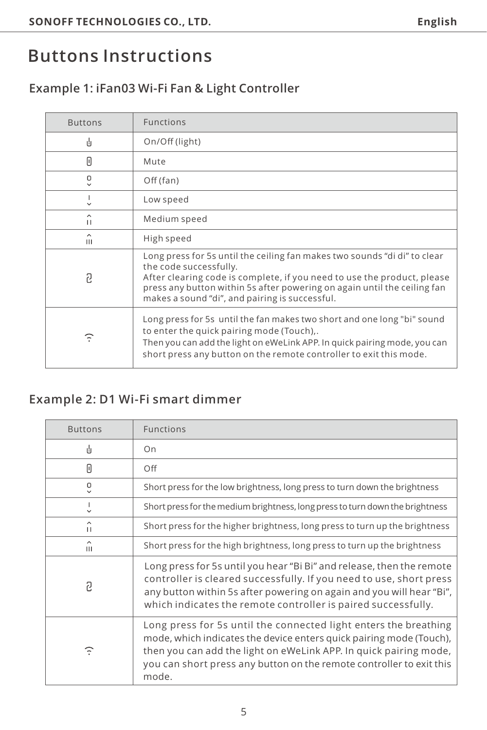# **Buttons Instructions**

#### **Example 1: iFan03 Wi-Fi Fan & Light Controller**

| <b>Buttons</b> | <b>Functions</b>                                                                                                                                                                                                                                                                                             |
|----------------|--------------------------------------------------------------------------------------------------------------------------------------------------------------------------------------------------------------------------------------------------------------------------------------------------------------|
| ıh             | On/Off (light)                                                                                                                                                                                                                                                                                               |
| Π              | Mute                                                                                                                                                                                                                                                                                                         |
| ۰              | Off (fan)                                                                                                                                                                                                                                                                                                    |
|                | Low speed                                                                                                                                                                                                                                                                                                    |
| ^<br>п         | Medium speed                                                                                                                                                                                                                                                                                                 |
| Ш              | High speed                                                                                                                                                                                                                                                                                                   |
| ּח             | Long press for 5s until the ceiling fan makes two sounds "di di" to clear<br>the code successfully.<br>After clearing code is complete, if you need to use the product, please<br>press any button within 5s after powering on again until the ceiling fan<br>makes a sound "di", and pairing is successful. |
| Φ              | Long press for 5s until the fan makes two short and one long "bi" sound<br>to enter the quick pairing mode (Touch),.<br>Then you can add the light on eWeLink APP. In quick pairing mode, you can<br>short press any button on the remote controller to exit this mode.                                      |

#### **Example 2: D1 Wi-Fi smart dimmer**

| <b>Buttons</b> | Functions                                                                                                                                                                                                                                                                                     |
|----------------|-----------------------------------------------------------------------------------------------------------------------------------------------------------------------------------------------------------------------------------------------------------------------------------------------|
| 山              | On                                                                                                                                                                                                                                                                                            |
| Π              | Off                                                                                                                                                                                                                                                                                           |
| ۰              | Short press for the low brightness, long press to turn down the brightness                                                                                                                                                                                                                    |
|                | Short press for the medium brightness, long press to turn down the brightness                                                                                                                                                                                                                 |
| ^<br>Ħ         | Short press for the higher brightness, long press to turn up the brightness                                                                                                                                                                                                                   |
| ́<br>Ш         | Short press for the high brightness, long press to turn up the brightness                                                                                                                                                                                                                     |
| פ              | Long press for 5s until you hear "Bi Bi" and release, then the remote<br>controller is cleared successfully. If you need to use, short press<br>any button within 5s after powering on again and you will hear "Bi",<br>which indicates the remote controller is paired successfully.         |
| F              | Long press for 5s until the connected light enters the breathing<br>mode, which indicates the device enters quick pairing mode (Touch),<br>then you can add the light on eWeLink APP. In quick pairing mode,<br>you can short press any button on the remote controller to exit this<br>mode. |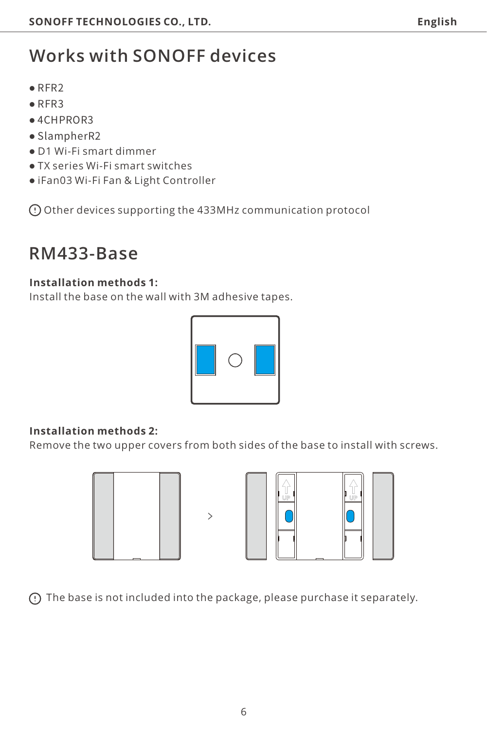# **Works with SONOFF devices**

- ●RFR2
- ●RFR3
- ●4CHPROR3
- ●SlampherR2
- D1 Wi-Fi smart dimmer
- TX series Wi-Fi smart switches
- iFan03 Wi-Fi Fan & Light Controller

Other devices supporting the 433MHz communication protocol

### **RM433-Base**

#### **Installation methods 1:**

Install the base on the wall with 3M adhesive tapes.



#### **Installation methods 2:**

Remove the two upper covers from both sides of the base to install with screws.





The base is not included into the package, please purchase it separately.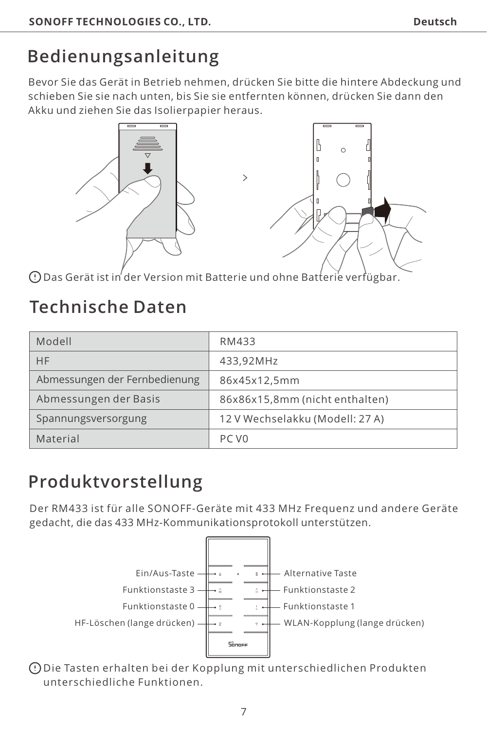# <span id="page-7-0"></span>**Bedienungsanleitung**

Bevor Sie das Gerät in Betrieb nehmen, drücken Sie bitte die hintere Abdeckung und schieben Sie sie nach unten, bis Sie sie entfernten können, drücken Sie dann den Akku und ziehen Sie das Isolierpapier heraus.



Das Gerät ist in der Version mit Batterie und ohne Batterie verfügbar.

# **Technische Daten**

| Modell                        | RM433                           |
|-------------------------------|---------------------------------|
| HF                            | 433.92MHz                       |
| Abmessungen der Fernbedienung | 86x45x12.5mm                    |
| Abmessungen der Basis         | 86x86x15,8mm (nicht enthalten)  |
| Spannungsversorgung           | 12 V Wechselakku (Modell: 27 A) |
| Material                      | PC V <sub>0</sub>               |

# **Produktvorstellung**

Der RM433 ist für alle SONOFF-Geräte mit 433 MHz Frequenz und andere Geräte gedacht, die das 433 MHz-Kommunikationsprotokoll unterstützen.



Die Tasten erhalten bei der Kopplung mit unterschiedlichen Produkten unterschiedliche Funktionen.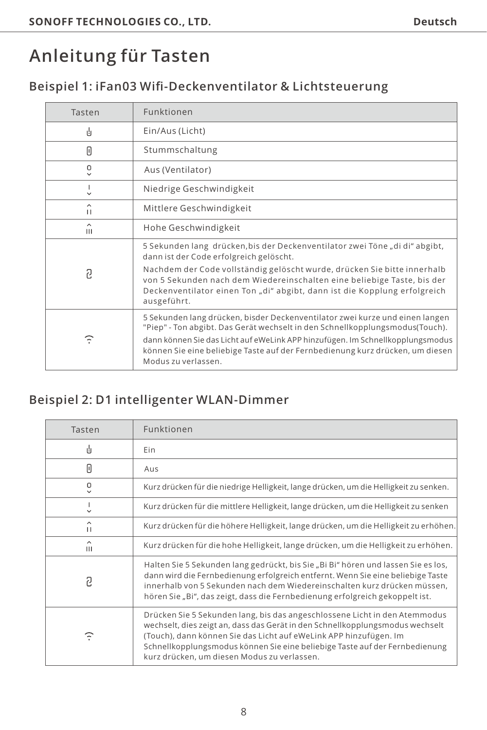# **Anleitung für Tasten**

#### **Beispiel 1: iFan03 Wifi-Deckenventilator & Lichtsteuerung**

| Tasten            | Funktionen                                                                                                                                                                                                                                                                                                                                             |
|-------------------|--------------------------------------------------------------------------------------------------------------------------------------------------------------------------------------------------------------------------------------------------------------------------------------------------------------------------------------------------------|
| ı4                | Ein/Aus (Licht)                                                                                                                                                                                                                                                                                                                                        |
| Π                 | Stummschaltung                                                                                                                                                                                                                                                                                                                                         |
| ٥<br>$\checkmark$ | Aus (Ventilator)                                                                                                                                                                                                                                                                                                                                       |
|                   | Niedrige Geschwindigkeit                                                                                                                                                                                                                                                                                                                               |
| ^<br>п            | Mittlere Geschwindigkeit                                                                                                                                                                                                                                                                                                                               |
| ^<br>Ш            | Hohe Geschwindigkeit                                                                                                                                                                                                                                                                                                                                   |
| ּח                | 5 Sekunden lang drücken, bis der Deckenventilator zwei Töne "di di" abgibt,<br>dann ist der Code erfolgreich gelöscht.                                                                                                                                                                                                                                 |
|                   | Nachdem der Code vollständig gelöscht wurde, drücken Sie bitte innerhalb<br>von 5 Sekunden nach dem Wiedereinschalten eine beliebige Taste, bis der<br>Deckenventilator einen Ton "di" abgibt, dann ist die Kopplung erfolgreich<br>ausgeführt.                                                                                                        |
| Φ                 | 5 Sekunden lang drücken, bisder Deckenventilator zwei kurze und einen langen<br>"Piep" - Ton abgibt. Das Gerät wechselt in den Schnellkopplungsmodus(Touch).<br>dann können Sie das Licht auf eWeLink APP hinzufügen. Im Schnellkopplungsmodus<br>können Sie eine beliebige Taste auf der Fernbedienung kurz drücken, um diesen<br>Modus zu verlassen. |

#### **Beispiel 2: D1 intelligenter WLAN-Dimmer**

| Tasten | Funktionen                                                                                                                                                                                                                                                                                                                                                     |
|--------|----------------------------------------------------------------------------------------------------------------------------------------------------------------------------------------------------------------------------------------------------------------------------------------------------------------------------------------------------------------|
| 山      | Fin                                                                                                                                                                                                                                                                                                                                                            |
| Π      | Aus                                                                                                                                                                                                                                                                                                                                                            |
| ۰      | Kurz drücken für die niedrige Helligkeit, lange drücken, um die Helligkeit zu senken.                                                                                                                                                                                                                                                                          |
| v      | Kurz drücken für die mittlere Helligkeit, lange drücken, um die Helligkeit zu senken                                                                                                                                                                                                                                                                           |
| ^<br>п | Kurz drücken für die höhere Helligkeit, lange drücken, um die Helligkeit zu erhöhen.                                                                                                                                                                                                                                                                           |
| ^<br>ш | Kurz drücken für die hohe Helligkeit, lange drücken, um die Helligkeit zu erhöhen.                                                                                                                                                                                                                                                                             |
| 2      | Halten Sie 5 Sekunden lang gedrückt, bis Sie "Bi Bi" hören und lassen Sie es los,<br>dann wird die Fernbedienung erfolgreich entfernt. Wenn Sie eine beliebige Taste<br>innerhalb von 5 Sekunden nach dem Wiedereinschalten kurz drücken müssen.<br>hören Sie "Bi", das zeigt, dass die Fernbedienung erfolgreich gekoppelt ist.                               |
| Φ      | Drücken Sie 5 Sekunden lang, bis das angeschlossene Licht in den Atemmodus<br>wechselt, dies zeigt an, dass das Gerät in den Schnellkopplungsmodus wechselt<br>(Touch), dann können Sie das Licht auf eWeLink APP hinzufügen. Im<br>Schnellkopplungsmodus können Sie eine beliebige Taste auf der Fernbedienung<br>kurz drücken, um diesen Modus zu verlassen. |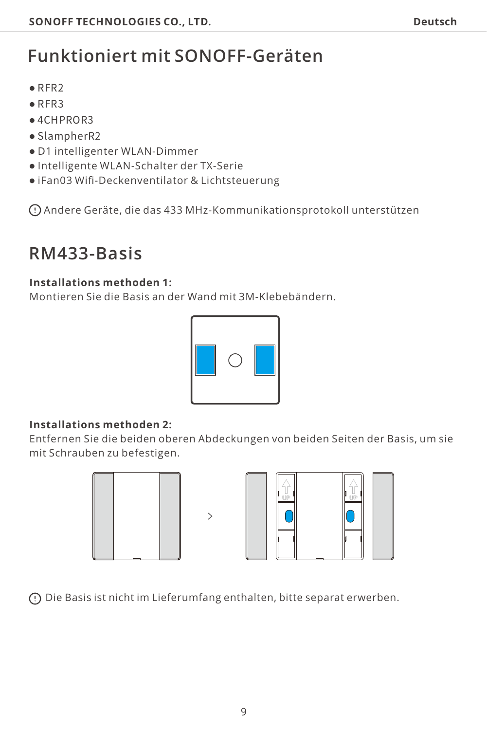# **Funktioniert mit SONOFF-Geräten**

- ●RFR2
- ●RFR3
- ●4CHPROR3
- ●SlampherR2
- D1 intelligenter WLAN-Dimmer
- Intelligente WLAN-Schalter der TX-Serie
- iFan03 Wifi-Deckenventilator & Lichtsteuerung

Andere Geräte, die das 433 MHz-Kommunikationsprotokoll unterstützen

### **RM433-Basis**

#### **Installations methoden 1:**

Montieren Sie die Basis an der Wand mit 3M-Klebebändern.



#### **Installations methoden 2:**

Entfernen Sie die beiden oberen Abdeckungen von beiden Seiten der Basis, um sie mit Schrauben zu befestigen.





Die Basis ist nicht im Lieferumfang enthalten, bitte separat erwerben.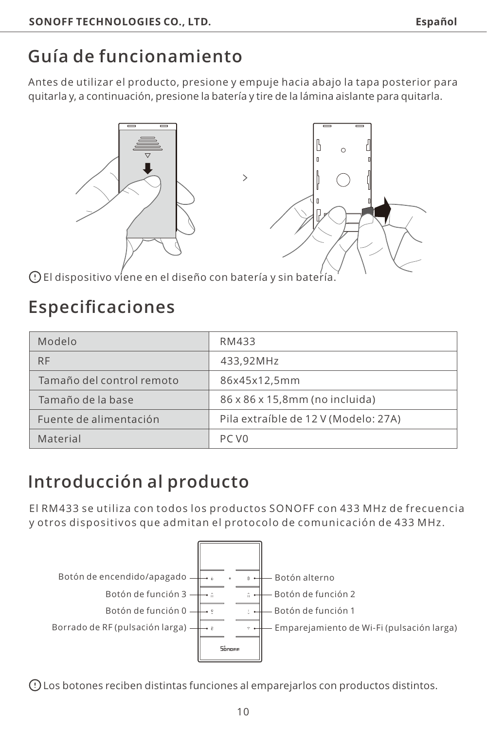# <span id="page-10-0"></span>**Guía de funcionamiento**

Antes de utilizar el producto, presione y empuje hacia abajo la tapa posterior para quitarla y, a continuación, presione la batería y tire de la lámina aislante para quitarla.



El dispositivo viene en el diseño con batería y sin batería.

### **Especificaciones**

| Modelo                    | RM433                                |
|---------------------------|--------------------------------------|
| <b>RF</b>                 | 433.92MHz                            |
| Tamaño del control remoto | 86x45x12,5mm                         |
| Tamaño de la base         | 86 x 86 x 15.8mm (no incluida)       |
| Euente de alimentación    | Pila extraíble de 12 V (Modelo: 27A) |
| Material                  | PC VO                                |

# **Introducción al producto**

El RM433 se utiliza con todos los productos SONOFF con 433 MHz de frecuencia y otros dispositivos que admitan el protocolo de comunicación de 433 MHz.



Los botones reciben distintas funciones al emparejarlos con productos distintos.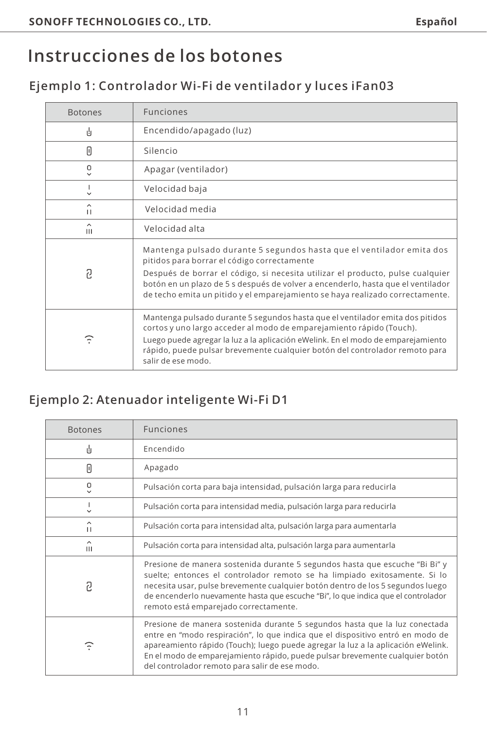# **Instrucciones de los botones**

#### **Ejemplo 1: Controlador Wi-Fi de ventilador y luces iFan03**

| <b>Botones</b>    | <b>Funciones</b>                                                                                                                                                                                                                                                                                                                                                            |
|-------------------|-----------------------------------------------------------------------------------------------------------------------------------------------------------------------------------------------------------------------------------------------------------------------------------------------------------------------------------------------------------------------------|
| ı4                | Encendido/apagado (luz)                                                                                                                                                                                                                                                                                                                                                     |
| Π                 | Silencio                                                                                                                                                                                                                                                                                                                                                                    |
| ٥<br>$\checkmark$ | Apagar (ventilador)                                                                                                                                                                                                                                                                                                                                                         |
|                   | Velocidad baja                                                                                                                                                                                                                                                                                                                                                              |
| $\lambda$<br>п    | Velocidad media                                                                                                                                                                                                                                                                                                                                                             |
| ^<br>ш            | Velocidad alta                                                                                                                                                                                                                                                                                                                                                              |
| ּח                | Mantenga pulsado durante 5 segundos hasta que el ventilador emita dos<br>pitidos para borrar el código correctamente<br>Después de borrar el código, si necesita utilizar el producto, pulse cualquier<br>botón en un plazo de 5 s después de volver a encenderlo, hasta que el ventilador<br>de techo emita un pitido y el emparejamiento se haya realizado correctamente. |
| Φ                 | Mantenga pulsado durante 5 segundos hasta que el ventilador emita dos pitidos<br>cortos y uno largo acceder al modo de emparejamiento rápido (Touch).<br>Luego puede agregar la luz a la aplicación eWelink. En el modo de emparejamiento<br>rápido, puede pulsar brevemente cualquier botón del controlador remoto para<br>salir de ese modo.                              |

#### **Ejemplo 2: Atenuador inteligente Wi-Fi D1**

| <b>Botones</b> | <b>Funciones</b>                                                                                                                                                                                                                                                                                                                                                                   |
|----------------|------------------------------------------------------------------------------------------------------------------------------------------------------------------------------------------------------------------------------------------------------------------------------------------------------------------------------------------------------------------------------------|
| 山              | Encendido                                                                                                                                                                                                                                                                                                                                                                          |
| Π              | Apagado                                                                                                                                                                                                                                                                                                                                                                            |
| o              | Pulsación corta para baja intensidad, pulsación larga para reducirla                                                                                                                                                                                                                                                                                                               |
| v              | Pulsación corta para intensidad media, pulsación larga para reducirla                                                                                                                                                                                                                                                                                                              |
| ^<br>Ħ         | Pulsación corta para intensidad alta, pulsación larga para aumentarla                                                                                                                                                                                                                                                                                                              |
| ^<br>Ш         | Pulsación corta para intensidad alta, pulsación larga para aumentarla                                                                                                                                                                                                                                                                                                              |
| 2              | Presione de manera sostenida durante 5 segundos hasta que escuche "Bi Bi" y<br>suelte; entonces el controlador remoto se ha limpiado exitosamente. Si lo<br>necesita usar, pulse brevemente cualquier botón dentro de los 5 segundos luego<br>de encenderlo nuevamente hasta que escuche "Bi", lo que indica que el controlador<br>remoto está emparejado correctamente.           |
| Ξ              | Presione de manera sostenida durante 5 segundos hasta que la luz conectada<br>entre en "modo respiración", lo que indica que el dispositivo entró en modo de<br>apareamiento rápido (Touch); luego puede agregar la luz a la aplicación eWelink.<br>En el modo de emparejamiento rápido, puede pulsar brevemente cualquier botón<br>del controlador remoto para salir de ese modo. |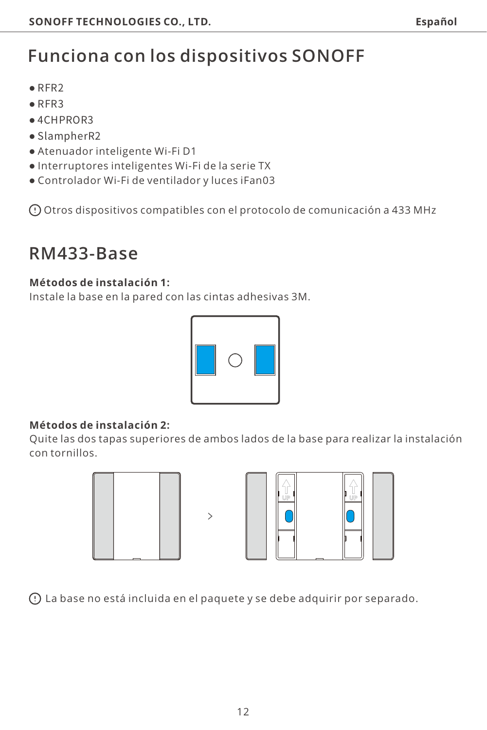# **Funciona con los dispositivos SONOFF**

- ●RFR2
- ●RFR3
- ●4CHPROR3
- ●SlampherR2
- Atenuador inteligente Wi-Fi D1
- Interruptores inteligentes Wi-Fi de la serie TX
- Controlador Wi-Fi de ventilador y luces iFan03

Otros dispositivos compatibles con el protocolo de comunicación a 433 MHz

### **RM433-Base**

#### **Métodos de instalación 1:**

Instale la base en la pared con las cintas adhesivas 3M.



#### **Métodos de instalación 2:**

Quite las dos tapas superiores de ambos lados de la base para realizar la instalación con tornillos.





La base no está incluida en el paquete y se debe adquirir por separado.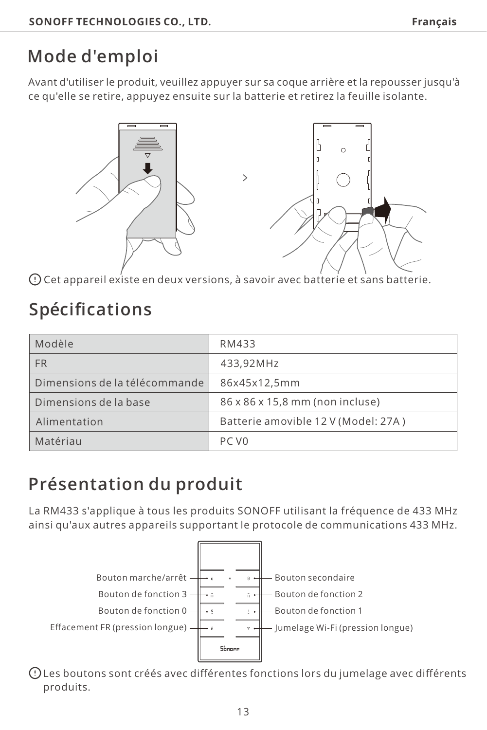# <span id="page-13-0"></span>**Mode d'emploi**

Avant d'utiliser le produit, veuillez appuyer sur sa coque arrière et la repousser jusqu'à ce qu'elle se retire, appuyez ensuite sur la batterie et retirez la feuille isolante.



Cet appareil existe en deux versions, à savoir avec batterie et sans batterie.

# **Spécifications**

| Modèle                        | RM433                               |
|-------------------------------|-------------------------------------|
| <b>FR</b>                     | 433.92MHz                           |
| Dimensions de la télécommande | 86x45x12.5mm                        |
| Dimensions de la base         | 86 x 86 x 15,8 mm (non incluse)     |
| Alimentation                  | Batterie amovible 12 V (Model: 27A) |
| Matériau                      | PC VO                               |

# **Présentation du produit**

La RM433 s'applique à tous les produits SONOFF utilisant la fréquence de 433 MHz ainsi qu'aux autres appareils supportant le protocole de communications 433 MHz.



Les boutons sont créés avec différentes fonctions lors du jumelage avec différents produits.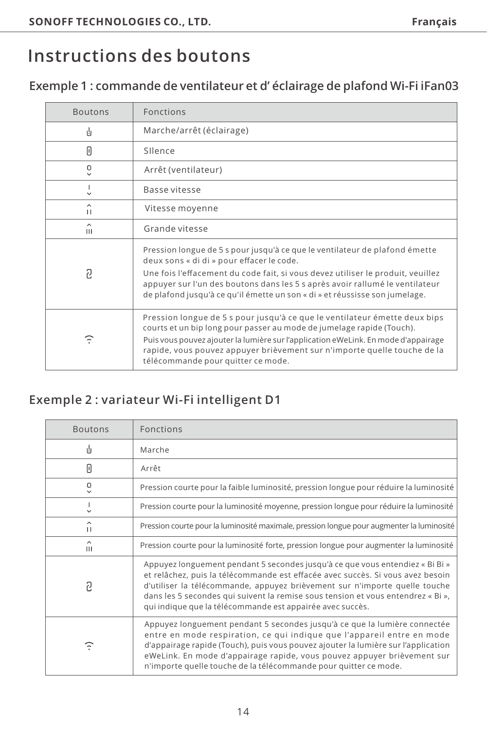### **Instructions des boutons**

#### **Exemple 1 : commande de ventilateur et d' éclairage de plafond Wi-Fi iFan03**

| <b>Boutons</b>    | <b>Fonctions</b>                                                                                                                                                                                                                                                                                                                                            |
|-------------------|-------------------------------------------------------------------------------------------------------------------------------------------------------------------------------------------------------------------------------------------------------------------------------------------------------------------------------------------------------------|
| ı4                | Marche/arrêt (éclairage)                                                                                                                                                                                                                                                                                                                                    |
| Π                 | Silence                                                                                                                                                                                                                                                                                                                                                     |
| ٥<br>$\checkmark$ | Arrêt (ventilateur)                                                                                                                                                                                                                                                                                                                                         |
|                   | Basse vitesse                                                                                                                                                                                                                                                                                                                                               |
| $\lambda$<br>п    | Vitesse moyenne                                                                                                                                                                                                                                                                                                                                             |
| ㅅ<br>Ш            | Grande vitesse                                                                                                                                                                                                                                                                                                                                              |
| ּח                | Pression longue de 5 s pour jusqu'à ce que le ventilateur de plafond émette<br>deux sons « di di » pour effacer le code.<br>Une fois l'effacement du code fait, si vous devez utiliser le produit, veuillez                                                                                                                                                 |
|                   | appuyer sur l'un des boutons dans les 5 s après avoir rallumé le ventilateur<br>de plafond jusqu'à ce qu'il émette un son « di » et réussisse son jumelage.                                                                                                                                                                                                 |
| F                 | Pression longue de 5 s pour jusqu'à ce que le ventilateur émette deux bips<br>courts et un bip long pour passer au mode de jumelage rapide (Touch).<br>Puis vous pouvez ajouter la lumière sur l'application eWeLink. En mode d'appairage<br>rapide, vous pouvez appuyer brièvement sur n'importe quelle touche de la<br>télécommande pour quitter ce mode. |

#### **Exemple 2 : variateur Wi-Fi intelligent D1**

| <b>Boutons</b> | <b>Fonctions</b>                                                                                                                                                                                                                                                                                                                                                                               |
|----------------|------------------------------------------------------------------------------------------------------------------------------------------------------------------------------------------------------------------------------------------------------------------------------------------------------------------------------------------------------------------------------------------------|
| 山              | Marche                                                                                                                                                                                                                                                                                                                                                                                         |
| Π              | Arrêt                                                                                                                                                                                                                                                                                                                                                                                          |
| ۰              | Pression courte pour la faible luminosité, pression longue pour réduire la luminosité                                                                                                                                                                                                                                                                                                          |
| п<br>v         | Pression courte pour la luminosité moyenne, pression longue pour réduire la luminosité                                                                                                                                                                                                                                                                                                         |
| ^<br>п         | Pression courte pour la luminosité maximale, pression longue pour augmenter la luminosité                                                                                                                                                                                                                                                                                                      |
| ۸<br>Ш         | Pression courte pour la luminosité forte, pression longue pour augmenter la luminosité                                                                                                                                                                                                                                                                                                         |
| ּק             | Appuyez longuement pendant 5 secondes jusqu'à ce que vous entendiez « Bi Bi »<br>et relâchez, puis la télécommande est effacée avec succès. Si vous avez besoin<br>d'utiliser la télécommande, appuyez brièvement sur n'importe quelle touche<br>dans les 5 secondes qui suivent la remise sous tension et vous entendrez « Bi »,<br>qui indique que la télécommande est appairée avec succès. |
| Φ              | Appuyez longuement pendant 5 secondes jusqu'à ce que la lumière connectée<br>entre en mode respiration, ce qui indique que l'appareil entre en mode<br>d'appairage rapide (Touch), puis vous pouvez ajouter la lumière sur l'application<br>eWeLink. En mode d'appairage rapide, vous pouvez appuyer brièvement sur<br>n'importe quelle touche de la télécommande pour quitter ce mode.        |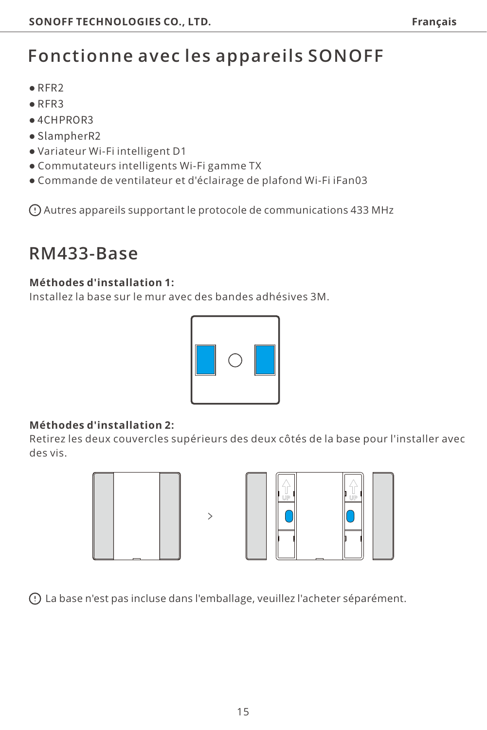# **Fonctionne avec les appareils SONOFF**

- ●RFR2
- ●RFR3
- ●4CHPROR3
- ●SlampherR2
- Variateur Wi-Fi intelligent D1
- Commutateurs intelligents Wi-Fi gamme TX
- Commande de ventilateur et d'éclairage de plafond Wi-Fi iFan03

Autres appareils supportant le protocole de communications 433 MHz

### **RM433-Base**

#### **Méthodes d'installation 1:**

Installez la base sur le mur avec des bandes adhésives 3M.



#### **Méthodes d'installation 2:**

Retirez les deux couvercles supérieurs des deux côtés de la base pour l'installer avec des vis.





La base n'est pas incluse dans l'emballage, veuillez l'acheter séparément.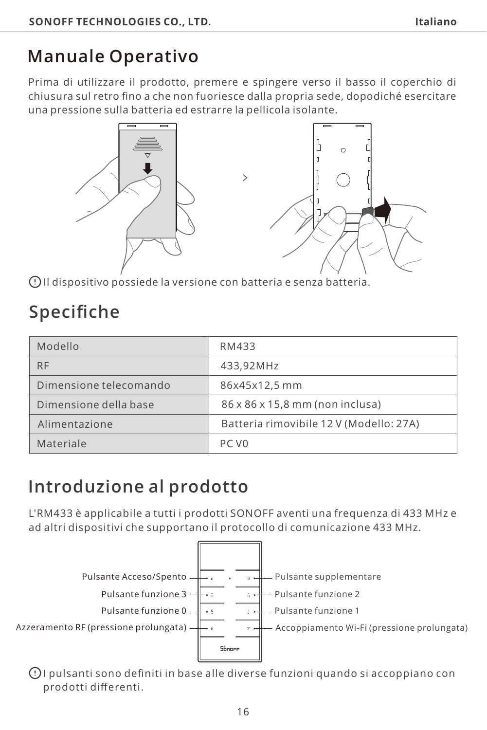# <span id="page-16-0"></span>**Manuale Operativo**

Prima di utilizzare il prodotto, premere e spingere verso il basso il coperchio di chiusura sul retro fino a che non fuoriesce dalla propria sede, dopodiché esercitare una pressione sulla batteria ed estrarre la pellicola isolante.



Il dispositivo possiede la versione con batteria e senza batteria.

# **Specifiche**

| Modello                | RM433                                   |
|------------------------|-----------------------------------------|
| <b>RF</b>              | 433.92MHz                               |
| Dimensione telecomando | 86x45x12.5 mm                           |
| Dimensione della base  | 86 x 86 x 15,8 mm (non inclusa)         |
| Alimentazione          | Batteria rimovibile 12 V (Modello: 27A) |
| Materiale              | PC V <sub>0</sub>                       |

# **Introduzione al prodotto**

L'RM433 è applicabile a tutti i prodotti SONOFF aventi una frequenza di 433 MHz e ad altri dispositivi che supportano il protocollo di comunicazione 433 MHz.



I pulsanti sono definiti in base alle diverse funzioni quando si accoppiano con prodotti differenti.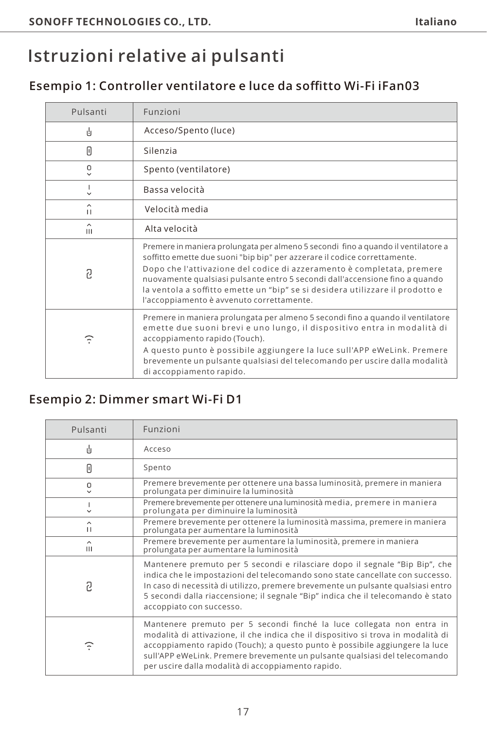# **Istruzioni relative ai pulsanti**

#### **Esempio 1: Controller ventilatore e luce da soffitto Wi-Fi iFan03**

| Pulsanti          | Funzioni                                                                                                                                                                                                                                                                                                                                                                                                                                              |
|-------------------|-------------------------------------------------------------------------------------------------------------------------------------------------------------------------------------------------------------------------------------------------------------------------------------------------------------------------------------------------------------------------------------------------------------------------------------------------------|
| 山                 | Acceso/Spento (luce)                                                                                                                                                                                                                                                                                                                                                                                                                                  |
| Π                 | Silenzia                                                                                                                                                                                                                                                                                                                                                                                                                                              |
| ۰<br>$\checkmark$ | Spento (ventilatore)                                                                                                                                                                                                                                                                                                                                                                                                                                  |
|                   | Bassa velocità                                                                                                                                                                                                                                                                                                                                                                                                                                        |
| ∼<br>п            | Velocità media                                                                                                                                                                                                                                                                                                                                                                                                                                        |
| ^<br>Ш            | Alta velocità                                                                                                                                                                                                                                                                                                                                                                                                                                         |
| 2                 | Premere in maniera prolungata per almeno 5 secondi fino a quando il ventilatore a<br>soffitto emette due suoni "bip bip" per azzerare il codice correttamente.<br>Dopo che l'attivazione del codice di azzeramento è completata, premere<br>nuovamente qualsiasi pulsante entro 5 secondi dall'accensione fino a quando<br>la ventola a soffitto emette un "bip" se si desidera utilizzare il prodotto e<br>l'accoppiamento è avvenuto correttamente. |
| ନ                 | Premere in maniera prolungata per almeno 5 secondi fino a quando il ventilatore<br>emette due suoni brevi e uno lungo, il dispositivo entra in modalità di<br>accoppiamento rapido (Touch).<br>A questo punto è possibile aggiungere la luce sull'APP eWeLink. Premere<br>brevemente un pulsante qualsiasi del telecomando per uscire dalla modalità<br>di accoppiamento rapido.                                                                      |

#### **Esempio 2: Dimmer smart Wi-Fi D1**

| Pulsanti | Funzioni                                                                                                                                                                                                                                                                                                                                                                      |
|----------|-------------------------------------------------------------------------------------------------------------------------------------------------------------------------------------------------------------------------------------------------------------------------------------------------------------------------------------------------------------------------------|
| 山        | Acceso                                                                                                                                                                                                                                                                                                                                                                        |
| Π        | Spento                                                                                                                                                                                                                                                                                                                                                                        |
| α        | Premere brevemente per ottenere una bassa luminosità, premere in maniera<br>prolungata per diminuire la luminosità                                                                                                                                                                                                                                                            |
| п<br>v   | Premere brevemente per ottenere una luminosità media, premere in maniera<br>prolungata per diminuire la luminosità                                                                                                                                                                                                                                                            |
| ^<br>п   | Premere brevemente per ottenere la luminosità massima, premere in maniera<br>prolungata per aumentare la luminosità                                                                                                                                                                                                                                                           |
| ^<br>ш   | Premere brevemente per aumentare la luminosità, premere in maniera<br>prolungata per aumentare la luminosità                                                                                                                                                                                                                                                                  |
| 2        | Mantenere premuto per 5 secondi e rilasciare dopo il segnale "Bip Bip", che<br>indica che le impostazioni del telecomando sono state cancellate con successo.<br>In caso di necessità di utilizzo, premere brevemente un pulsante qualsiasi entro<br>5 secondi dalla riaccensione; il segnale "Bip" indica che il telecomando è stato<br>accoppiato con successo.             |
| F        | Mantenere premuto per 5 secondi finché la luce collegata non entra in<br>modalità di attivazione, il che indica che il dispositivo si trova in modalità di<br>accoppiamento rapido (Touch); a questo punto è possibile aggiungere la luce<br>sull'APP eWeLink. Premere brevemente un pulsante qualsiasi del telecomando<br>per uscire dalla modalità di accoppiamento rapido. |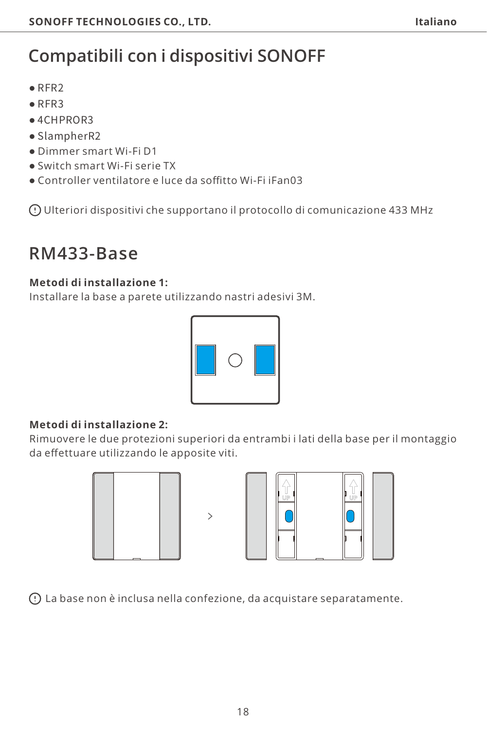# **Compatibili con i dispositivi SONOFF**

- ●RFR2
- ●RFR3
- ●4CHPROR3
- ●SlampherR2
- Dimmer smart Wi-Fi D1
- Switch smart Wi-Fi serie TX
- Controller ventilatore e luce da soffitto Wi-Fi iFan03

Ulteriori dispositivi che supportano il protocollo di comunicazione 433 MHz

### **RM433-Base**

#### **Metodi di installazione 1:**

Installare la base a parete utilizzando nastri adesivi 3M.



#### **Metodi di installazione 2:**

Rimuovere le due protezioni superiori da entrambi i lati della base per il montaggio da effettuare utilizzando le apposite viti.





La base non è inclusa nella confezione, da acquistare separatamente.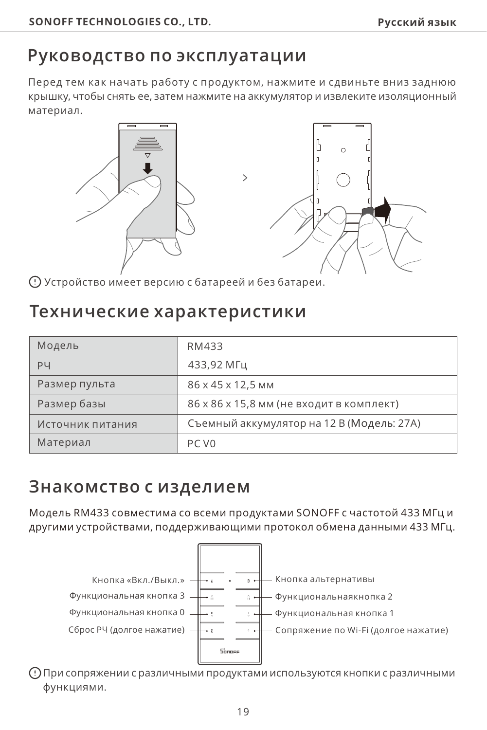#### <span id="page-19-0"></span>**Руководство по эксплуатации**

Перед тем как начать работу с продуктом, нажмите и сдвиньте вниз заднюю крышку, чтобы снять ее, затем нажмите на аккумулятор и извлеките изоляционный материал.



Устройство имеет версию с батареей и без батареи.

#### **Технические характеристики**

| Модель           | RM433                                     |
|------------------|-------------------------------------------|
| PЧ               | 433.92 MFu                                |
| Размер пульта    | 86 x 45 x 12.5 MM                         |
| Размер базы      | 86 х 86 х 15,8 мм (не входит в комплект)  |
| Источник питания | Съемный аккумулятор на 12 В (Модель: 27А) |
| Материал         | PC V <sub>0</sub>                         |

### **Знакомство с изделием**

Модель RM433 совместима со всеми продуктами SONOFF с частотой 433 МГц и другими устройствами, поддерживающими протокол обмена данными 433 МГц.



При сопряжении с различными продуктами используются кнопки с различными функциями.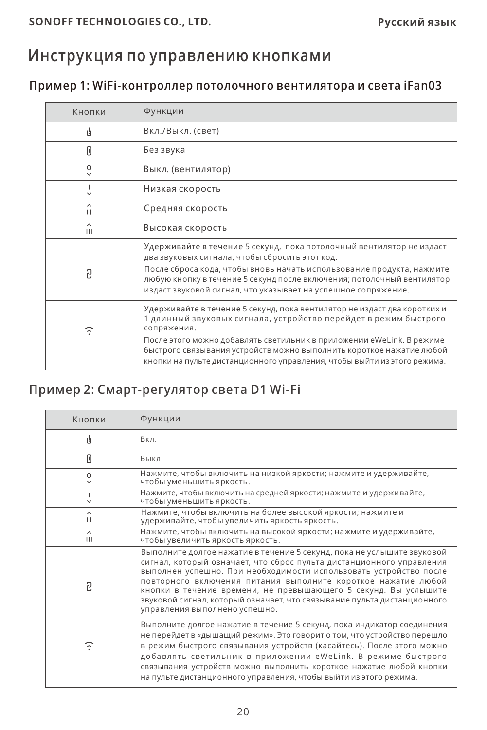### **Инструкция по управлению кнопками**

#### **Пример 1: WiFi-контроллер потолочного вентилятора и света iFan03**

| Кнопки       | Функции                                                                                                                                                                                                                                                                                                                                                                                  |
|--------------|------------------------------------------------------------------------------------------------------------------------------------------------------------------------------------------------------------------------------------------------------------------------------------------------------------------------------------------------------------------------------------------|
| ılı.         | Вкл./Выкл. (свет)                                                                                                                                                                                                                                                                                                                                                                        |
| Π            | Без звука                                                                                                                                                                                                                                                                                                                                                                                |
| ۰            | Выкл. (вентилятор)                                                                                                                                                                                                                                                                                                                                                                       |
| $\checkmark$ | Низкая скорость                                                                                                                                                                                                                                                                                                                                                                          |
| ^<br>п       | Средняя скорость                                                                                                                                                                                                                                                                                                                                                                         |
| ^<br>Ш       | Высокая скорость                                                                                                                                                                                                                                                                                                                                                                         |
| 2            | Удерживайте в течение 5 секунд, пока потолочный вентилятор не издаст<br>два звуковых сигнала, чтобы сбросить этот код.<br>После сброса кода, чтобы вновь начать использование продукта, нажмите<br>любую кнопку в течение 5 секунд после включения; потолочный вентилятор<br>издаст звуковой сигнал, что указывает на успешное сопряжение.                                               |
| Ŧ            | Удерживайте в течение 5 секунд, пока вентилятор не издаст два коротких и<br>1 длинный звуковых сигнала, устройство перейдет в режим быстрого<br>сопряжения.<br>После этого можно добавлять светильник в приложении eWeLink. В режиме<br>быстрого связывания устройств можно выполнить короткое нажатие любой<br>кнопки на пульте дистанционного управления, чтобы выйти из этого режима. |

#### **Пример 2: Смарт-регулятор света D1 Wi-Fi**

| Кнопки                   | Функции                                                                                                                                                                                                                                                                                                                                                                                                                                                             |
|--------------------------|---------------------------------------------------------------------------------------------------------------------------------------------------------------------------------------------------------------------------------------------------------------------------------------------------------------------------------------------------------------------------------------------------------------------------------------------------------------------|
| 山                        | Bкл.                                                                                                                                                                                                                                                                                                                                                                                                                                                                |
| 0                        | Выкл.                                                                                                                                                                                                                                                                                                                                                                                                                                                               |
| ۰<br>$\checkmark$        | Нажмите, чтобы включить на низкой яркости; нажмите и удерживайте,<br>чтобы уменьшить яркость.                                                                                                                                                                                                                                                                                                                                                                       |
| v                        | Нажмите, чтобы включить на средней яркости; нажмите и удерживайте,<br>чтобы уменьшить яркость.                                                                                                                                                                                                                                                                                                                                                                      |
| ^<br>п                   | Нажмите, чтобы включить на более высокой яркости; нажмите и<br>удерживайте, чтобы увеличить яркость яркость.                                                                                                                                                                                                                                                                                                                                                        |
| $\hat{\phantom{a}}$<br>Ш | Нажмите, чтобы включить на высокой яркости; нажмите и удерживайте,<br>чтобы увеличить яркость яркость.                                                                                                                                                                                                                                                                                                                                                              |
| 2                        | Выполните долгое нажатие в течение 5 секунд, пока не услышите звуковой<br>сигнал, который означает, что сброс пульта дистанционного управления<br>выполнен успешно. При необходимости использовать устройство после<br>повторного включения питания выполните короткое нажатие любой<br>кнопки в течение времени, не превышающего 5 секунд. Вы услышите<br>звуковой сигнал, который означает, что связывание пульта дистанционного<br>управления выполнено успешно. |
| Φ                        | Выполните долгое нажатие в течение 5 секунд, пока индикатор соединения<br>не перейдет в «дышащий режим». Это говорит о том, что устройство перешло<br>в режим быстрого связывания устройств (касайтесь). После этого можно<br>добавлять светильник в приложении eWeLink. В режиме быстрого<br>связывания устройств можно выполнить короткое нажатие любой кнопки<br>на пульте дистанционного управления, чтобы выйти из этого режима.                               |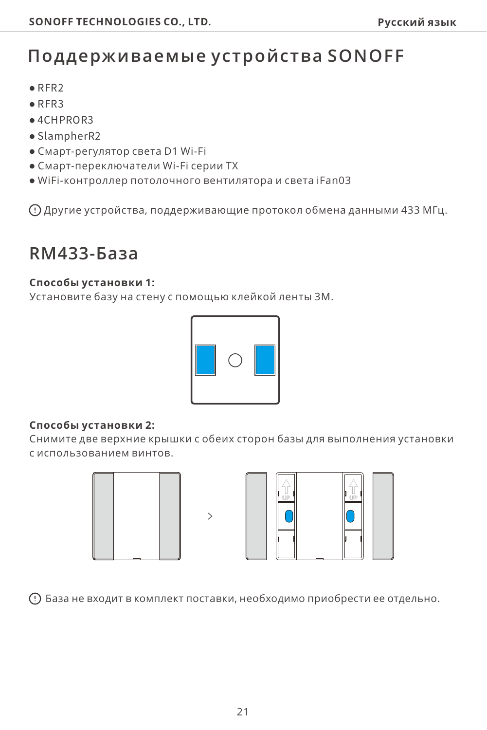# **Поддерживаемые устройства SONOFF**

- ●RFR2
- ●RFR3
- $ACHPPOR3$
- ●SlampherR2
- Смарт-регулятор света D1 Wi-Fi
- Смарт-переключатели Wi-Fi серии TX
- WiFi-контроллер потолочного вентилятора и света iFan03

Другие устройства, поддерживающие протокол обмена данными 433 МГц.

### **RM433-База**

#### **Способы установки 1:**

Установите базу на стену с помощью клейкой ленты 3M.



#### **Способы установки 2:**

Снимите две верхние крышки с обеих сторон базы для выполнения установки с использованием винтов.





База не входит в комплект поставки, необходимо приобрести ее отдельно.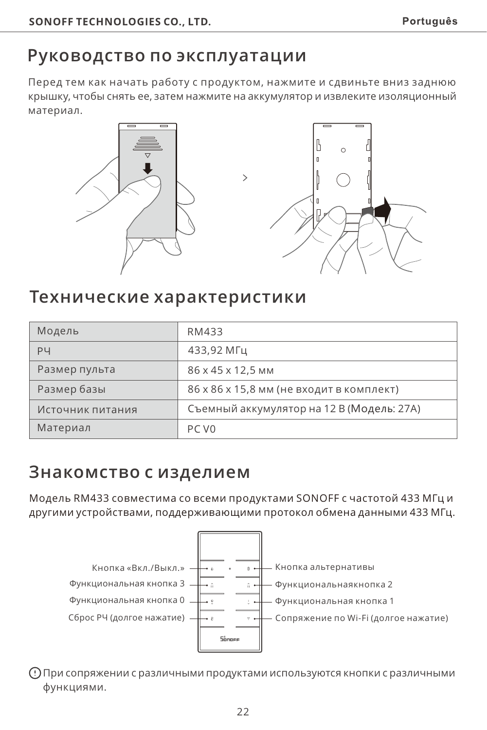### <span id="page-22-0"></span>**Руководство по эксплуатации**

Перед тем как начать работу с продуктом, нажмите и сдвиньте вниз заднюю крышку, чтобы снять ее, затем нажмите на аккумулятор и извлеките изоляционный материал.

 $\mathcal{P}$ 





### **Технические характеристики**

| Модель           | RM433                                     |
|------------------|-------------------------------------------|
| PЧ               | 433.92 MFu                                |
| Размер пульта    | 86 x 45 x 12.5 MM                         |
| Размер базы      | 86 х 86 х 15,8 мм (не входит в комплект)  |
| Источник питания | Съемный аккумулятор на 12 В (Модель: 27А) |
| Материал         | PC V <sub>0</sub>                         |

#### **Знакомство с изделием**

Модель RM433 совместима со всеми продуктами SONOFF с частотой 433 МГц и другими устройствами, поддерживающими протокол обмена данными 433 МГц.



При сопряжении с различными продуктами используются кнопки с различными функциями.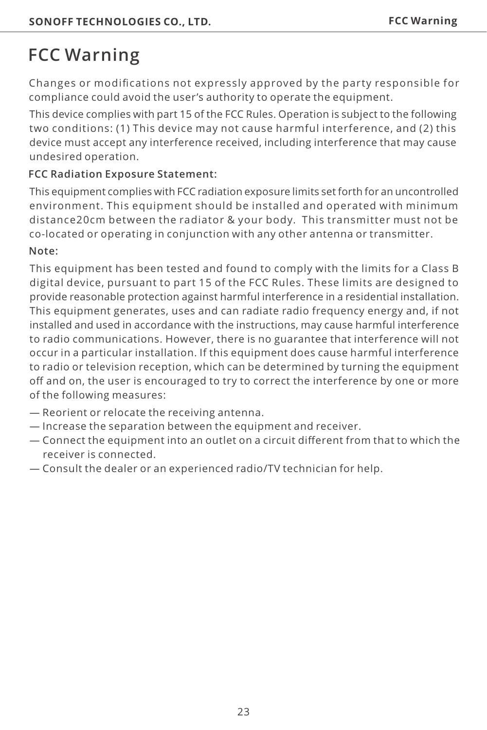# **FCC Warning**

Changes or modifications not expressly approved by the party responsible for compliance could avoid the user's authority to operate the equipment.

This device complies with part 15 of the FCC Rules. Operation is subject to the following two conditions: (1) This device may not cause harmful interference, and (2) this device must accept any interference received, including interference that may cause undesired operation.

#### **FCC Radiation Exposure Statement:**

This equipment complies with FCC radiation exposure limits set forth for an uncontrolled environment. This equipment should be installed and operated with minimum distance20cm between the radiator & your body. This transmitter must not be co-located or operating in conjunction with any other antenna or transmitter.

#### **Note:**

This equipment has been tested and found to comply with the limits for a Class B digital device, pursuant to part 15 of the FCC Rules. These limits are designed to provide reasonable protection against harmful interference in a residential installation. This equipment generates, uses and can radiate radio frequency energy and, if not installed and used in accordance with the instructions, may cause harmful interference to radio communications. However, there is no guarantee that interference will not occur in a particular installation. If this equipment does cause harmful interference to radio or television reception, which can be determined by turning the equipment off and on, the user is encouraged to try to correct the interference by one or more of the following measures:

- Reorient or relocate the receiving antenna.
- Increase the separation between the equipment and receiver.
- Connect the equipment into an outlet on a circuit different from that to which the receiver is connected.
- Consult the dealer or an experienced radio/TV technician for help.